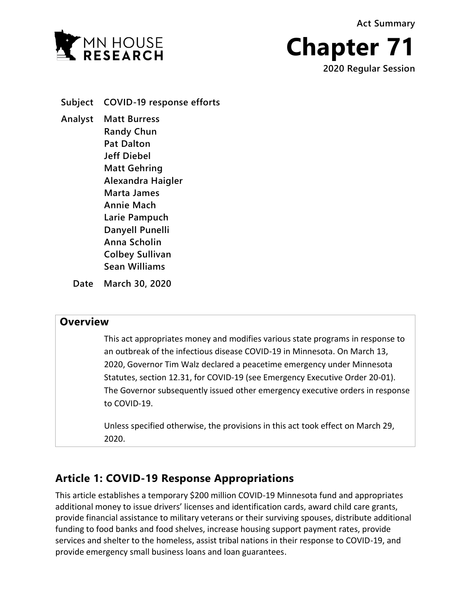**Act Summary**





**Subject COVID-19 response efforts Analyst Matt Burress Randy Chun Pat Dalton Jeff Diebel Matt Gehring Alexandra Haigler Marta James Annie Mach Larie Pampuch Danyell Punelli Anna Scholin Colbey Sullivan Sean Williams**

**Date March 30, 2020**

# **Overview**

This act appropriates money and modifies various state programs in response to an outbreak of the infectious disease COVID-19 in Minnesota. On March 13, 2020, Governor Tim Walz declared a peacetime emergency under Minnesota Statutes, section 12.31, for COVID-19 (see Emergency Executive Order 20-01). The Governor subsequently issued other emergency executive orders in response to COVID-19.

Unless specified otherwise, the provisions in this act took effect on March 29, 2020.

# **Article 1: COVID-19 Response Appropriations**

This article establishes a temporary \$200 million COVID-19 Minnesota fund and appropriates additional money to issue drivers' licenses and identification cards, award child care grants, provide financial assistance to military veterans or their surviving spouses, distribute additional funding to food banks and food shelves, increase housing support payment rates, provide services and shelter to the homeless, assist tribal nations in their response to COVID-19, and provide emergency small business loans and loan guarantees.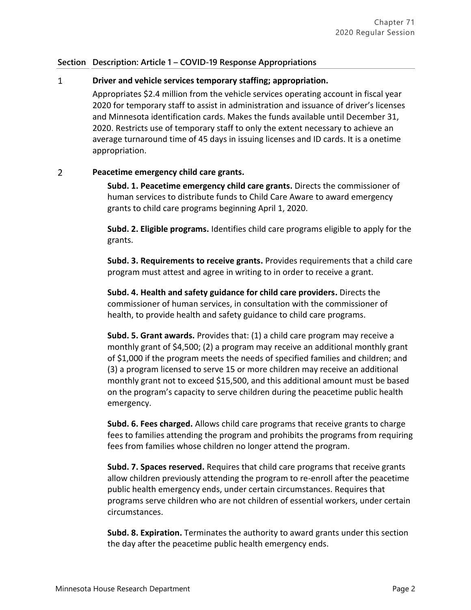#### $\mathbf{1}$ **Driver and vehicle services temporary staffing; appropriation.**

Appropriates \$2.4 million from the vehicle services operating account in fiscal year 2020 for temporary staff to assist in administration and issuance of driver's licenses and Minnesota identification cards. Makes the funds available until December 31, 2020. Restricts use of temporary staff to only the extent necessary to achieve an average turnaround time of 45 days in issuing licenses and ID cards. It is a onetime appropriation.

#### $\overline{2}$ **Peacetime emergency child care grants.**

**Subd. 1. Peacetime emergency child care grants.** Directs the commissioner of human services to distribute funds to Child Care Aware to award emergency grants to child care programs beginning April 1, 2020.

**Subd. 2. Eligible programs.** Identifies child care programs eligible to apply for the grants.

**Subd. 3. Requirements to receive grants.** Provides requirements that a child care program must attest and agree in writing to in order to receive a grant.

**Subd. 4. Health and safety guidance for child care providers.** Directs the commissioner of human services, in consultation with the commissioner of health, to provide health and safety guidance to child care programs.

**Subd. 5. Grant awards.** Provides that: (1) a child care program may receive a monthly grant of \$4,500; (2) a program may receive an additional monthly grant of \$1,000 if the program meets the needs of specified families and children; and (3) a program licensed to serve 15 or more children may receive an additional monthly grant not to exceed \$15,500, and this additional amount must be based on the program's capacity to serve children during the peacetime public health emergency.

**Subd. 6. Fees charged.** Allows child care programs that receive grants to charge fees to families attending the program and prohibits the programs from requiring fees from families whose children no longer attend the program.

**Subd. 7. Spaces reserved.** Requires that child care programs that receive grants allow children previously attending the program to re-enroll after the peacetime public health emergency ends, under certain circumstances. Requires that programs serve children who are not children of essential workers, under certain circumstances.

**Subd. 8. Expiration.** Terminates the authority to award grants under this section the day after the peacetime public health emergency ends.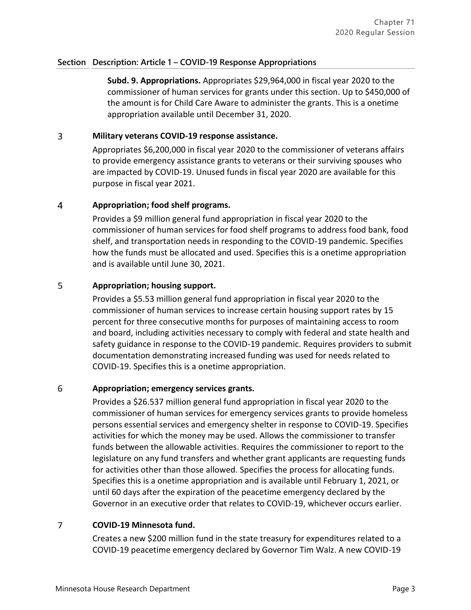**Subd. 9. Appropriations.** Appropriates \$29,964,000 in fiscal year 2020 to the commissioner of human services for grants under this section. Up to \$450,000 of the amount is for Child Care Aware to administer the grants. This is a onetime appropriation available until December 31, 2020.

#### $\overline{3}$ **Military veterans COVID-19 response assistance.**

Appropriates \$6,200,000 in fiscal year 2020 to the commissioner of veterans affairs to provide emergency assistance grants to veterans or their surviving spouses who are impacted by COVID-19. Unused funds in fiscal year 2020 are available for this purpose in fiscal year 2021.

#### $\overline{4}$ **Appropriation; food shelf programs.**

Provides a \$9 million general fund appropriation in fiscal year 2020 to the commissioner of human services for food shelf programs to address food bank, food shelf, and transportation needs in responding to the COVID-19 pandemic. Specifies how the funds must be allocated and used. Specifies this is a onetime appropriation and is available until June 30, 2021.

#### 5 **Appropriation; housing support.**

Provides a \$5.53 million general fund appropriation in fiscal year 2020 to the commissioner of human services to increase certain housing support rates by 15 percent for three consecutive months for purposes of maintaining access to room and board, including activities necessary to comply with federal and state health and safety guidance in response to the COVID-19 pandemic. Requires providers to submit documentation demonstrating increased funding was used for needs related to COVID-19. Specifies this is a onetime appropriation.

#### 6 **Appropriation; emergency services grants.**

Provides a \$26.537 million general fund appropriation in fiscal year 2020 to the commissioner of human services for emergency services grants to provide homeless persons essential services and emergency shelter in response to COVID-19. Specifies activities for which the money may be used. Allows the commissioner to transfer funds between the allowable activities. Requires the commissioner to report to the legislature on any fund transfers and whether grant applicants are requesting funds for activities other than those allowed. Specifies the process for allocating funds. Specifies this is a onetime appropriation and is available until February 1, 2021, or until 60 days after the expiration of the peacetime emergency declared by the Governor in an executive order that relates to COVID-19, whichever occurs earlier.

#### $\overline{7}$ **COVID-19 Minnesota fund.**

Creates a new \$200 million fund in the state treasury for expenditures related to a COVID-19 peacetime emergency declared by Governor Tim Walz. A new COVID-19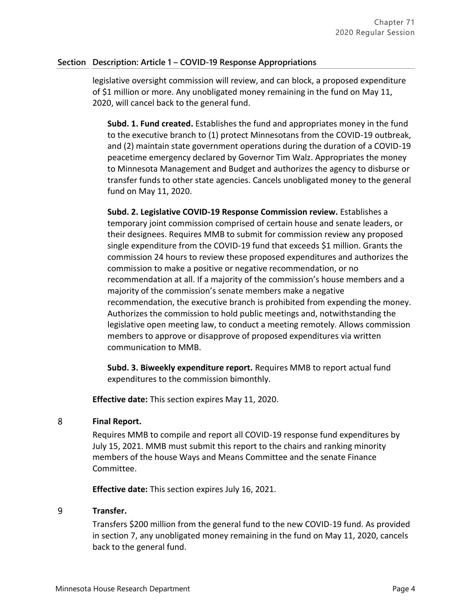legislative oversight commission will review, and can block, a proposed expenditure of \$1 million or more. Any unobligated money remaining in the fund on May 11, 2020, will cancel back to the general fund.

**Subd. 1. Fund created.** Establishes the fund and appropriates money in the fund to the executive branch to (1) protect Minnesotans from the COVID-19 outbreak, and (2) maintain state government operations during the duration of a COVID-19 peacetime emergency declared by Governor Tim Walz. Appropriates the money to Minnesota Management and Budget and authorizes the agency to disburse or transfer funds to other state agencies. Cancels unobligated money to the general fund on May 11, 2020.

**Subd. 2. Legislative COVID-19 Response Commission review.** Establishes a temporary joint commission comprised of certain house and senate leaders, or their designees. Requires MMB to submit for commission review any proposed single expenditure from the COVID-19 fund that exceeds \$1 million. Grants the commission 24 hours to review these proposed expenditures and authorizes the commission to make a positive or negative recommendation, or no recommendation at all. If a majority of the commission's house members and a majority of the commission's senate members make a negative recommendation, the executive branch is prohibited from expending the money. Authorizes the commission to hold public meetings and, notwithstanding the legislative open meeting law, to conduct a meeting remotely. Allows commission members to approve or disapprove of proposed expenditures via written communication to MMB.

**Subd. 3. Biweekly expenditure report.** Requires MMB to report actual fund expenditures to the commission bimonthly.

**Effective date:** This section expires May 11, 2020.

#### 8 **Final Report.**

Requires MMB to compile and report all COVID-19 response fund expenditures by July 15, 2021. MMB must submit this report to the chairs and ranking minority members of the house Ways and Means Committee and the senate Finance Committee.

**Effective date:** This section expires July 16, 2021.

#### 9 **Transfer.**

Transfers \$200 million from the general fund to the new COVID-19 fund. As provided in section 7, any unobligated money remaining in the fund on May 11, 2020, cancels back to the general fund.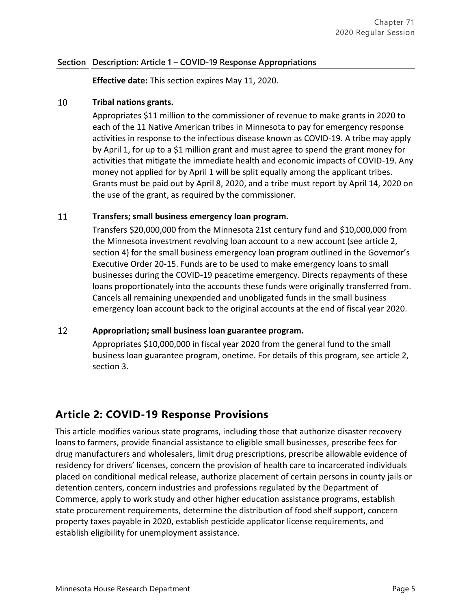**Effective date:** This section expires May 11, 2020.

#### 10 **Tribal nations grants.**

Appropriates \$11 million to the commissioner of revenue to make grants in 2020 to each of the 11 Native American tribes in Minnesota to pay for emergency response activities in response to the infectious disease known as COVID-19. A tribe may apply by April 1, for up to a \$1 million grant and must agree to spend the grant money for activities that mitigate the immediate health and economic impacts of COVID-19. Any money not applied for by April 1 will be split equally among the applicant tribes. Grants must be paid out by April 8, 2020, and a tribe must report by April 14, 2020 on the use of the grant, as required by the commissioner.

#### 11 **Transfers; small business emergency loan program.**

Transfers \$20,000,000 from the Minnesota 21st century fund and \$10,000,000 from the Minnesota investment revolving loan account to a new account (see article 2, section 4) for the small business emergency loan program outlined in the Governor's Executive Order 20-15. Funds are to be used to make emergency loans to small businesses during the COVID-19 peacetime emergency. Directs repayments of these loans proportionately into the accounts these funds were originally transferred from. Cancels all remaining unexpended and unobligated funds in the small business emergency loan account back to the original accounts at the end of fiscal year 2020.

#### 12 **Appropriation; small business loan guarantee program.**

Appropriates \$10,000,000 in fiscal year 2020 from the general fund to the small business loan guarantee program, onetime. For details of this program, see article 2, section 3.

# **Article 2: COVID-19 Response Provisions**

This article modifies various state programs, including those that authorize disaster recovery loans to farmers, provide financial assistance to eligible small businesses, prescribe fees for drug manufacturers and wholesalers, limit drug prescriptions, prescribe allowable evidence of residency for drivers' licenses, concern the provision of health care to incarcerated individuals placed on conditional medical release, authorize placement of certain persons in county jails or detention centers, concern industries and professions regulated by the Department of Commerce, apply to work study and other higher education assistance programs, establish state procurement requirements, determine the distribution of food shelf support, concern property taxes payable in 2020, establish pesticide applicator license requirements, and establish eligibility for unemployment assistance.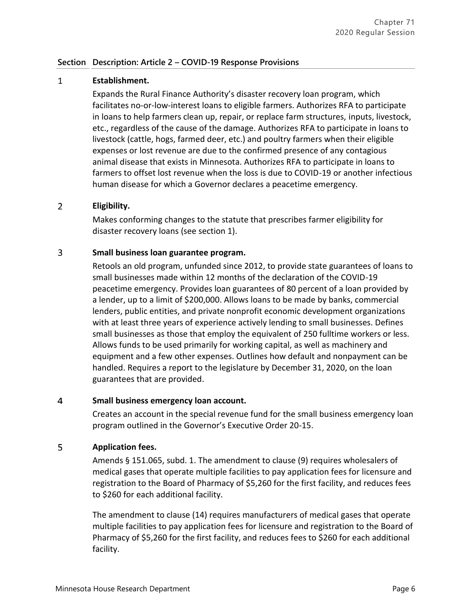#### $\mathbf{1}$ **Establishment.**

Expands the Rural Finance Authority's disaster recovery loan program, which facilitates no-or-low-interest loans to eligible farmers. Authorizes RFA to participate in loans to help farmers clean up, repair, or replace farm structures, inputs, livestock, etc., regardless of the cause of the damage. Authorizes RFA to participate in loans to livestock (cattle, hogs, farmed deer, etc.) and poultry farmers when their eligible expenses or lost revenue are due to the confirmed presence of any contagious animal disease that exists in Minnesota. Authorizes RFA to participate in loans to farmers to offset lost revenue when the loss is due to COVID-19 or another infectious human disease for which a Governor declares a peacetime emergency.

#### $\overline{2}$ **Eligibility.**

Makes conforming changes to the statute that prescribes farmer eligibility for disaster recovery loans (see section 1).

#### $\overline{3}$ **Small business loan guarantee program.**

Retools an old program, unfunded since 2012, to provide state guarantees of loans to small businesses made within 12 months of the declaration of the COVID-19 peacetime emergency. Provides loan guarantees of 80 percent of a loan provided by a lender, up to a limit of \$200,000. Allows loans to be made by banks, commercial lenders, public entities, and private nonprofit economic development organizations with at least three years of experience actively lending to small businesses. Defines small businesses as those that employ the equivalent of 250 fulltime workers or less. Allows funds to be used primarily for working capital, as well as machinery and equipment and a few other expenses. Outlines how default and nonpayment can be handled. Requires a report to the legislature by December 31, 2020, on the loan guarantees that are provided.

#### $\overline{4}$ **Small business emergency loan account.**

Creates an account in the special revenue fund for the small business emergency loan program outlined in the Governor's Executive Order 20-15.

#### 5 **Application fees.**

Amends § 151.065, subd. 1. The amendment to clause (9) requires wholesalers of medical gases that operate multiple facilities to pay application fees for licensure and registration to the Board of Pharmacy of \$5,260 for the first facility, and reduces fees to \$260 for each additional facility.

The amendment to clause (14) requires manufacturers of medical gases that operate multiple facilities to pay application fees for licensure and registration to the Board of Pharmacy of \$5,260 for the first facility, and reduces fees to \$260 for each additional facility.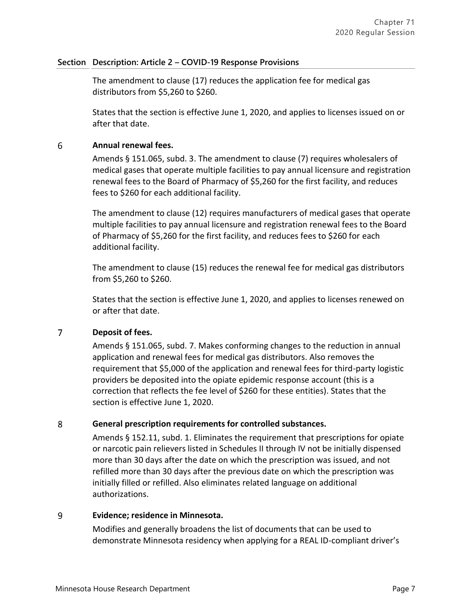The amendment to clause (17) reduces the application fee for medical gas distributors from \$5,260 to \$260.

States that the section is effective June 1, 2020, and applies to licenses issued on or after that date.

#### 6 **Annual renewal fees.**

Amends § 151.065, subd. 3. The amendment to clause (7) requires wholesalers of medical gases that operate multiple facilities to pay annual licensure and registration renewal fees to the Board of Pharmacy of \$5,260 for the first facility, and reduces fees to \$260 for each additional facility.

The amendment to clause (12) requires manufacturers of medical gases that operate multiple facilities to pay annual licensure and registration renewal fees to the Board of Pharmacy of \$5,260 for the first facility, and reduces fees to \$260 for each additional facility.

The amendment to clause (15) reduces the renewal fee for medical gas distributors from \$5,260 to \$260.

States that the section is effective June 1, 2020, and applies to licenses renewed on or after that date.

#### $\overline{7}$ **Deposit of fees.**

Amends § 151.065, subd. 7. Makes conforming changes to the reduction in annual application and renewal fees for medical gas distributors. Also removes the requirement that \$5,000 of the application and renewal fees for third-party logistic providers be deposited into the opiate epidemic response account (this is a correction that reflects the fee level of \$260 for these entities). States that the section is effective June 1, 2020.

#### 8 **General prescription requirements for controlled substances.**

Amends § 152.11, subd. 1. Eliminates the requirement that prescriptions for opiate or narcotic pain relievers listed in Schedules II through IV not be initially dispensed more than 30 days after the date on which the prescription was issued, and not refilled more than 30 days after the previous date on which the prescription was initially filled or refilled. Also eliminates related language on additional authorizations.

#### 9 **Evidence; residence in Minnesota.**

Modifies and generally broadens the list of documents that can be used to demonstrate Minnesota residency when applying for a REAL ID-compliant driver's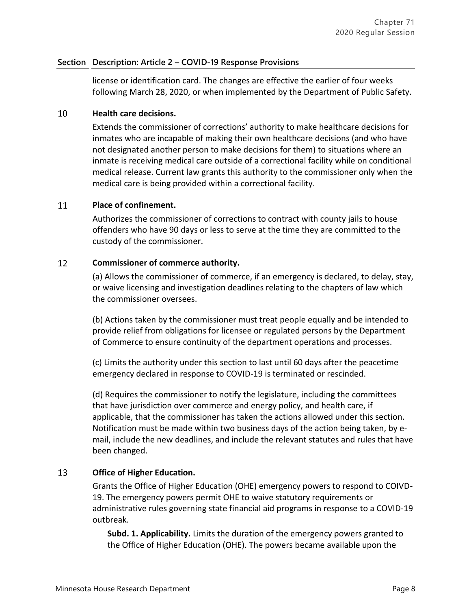license or identification card. The changes are effective the earlier of four weeks following March 28, 2020, or when implemented by the Department of Public Safety.

#### 10 **Health care decisions.**

Extends the commissioner of corrections' authority to make healthcare decisions for inmates who are incapable of making their own healthcare decisions (and who have not designated another person to make decisions for them) to situations where an inmate is receiving medical care outside of a correctional facility while on conditional medical release. Current law grants this authority to the commissioner only when the medical care is being provided within a correctional facility.

#### **Place of confinement.** 11

Authorizes the commissioner of corrections to contract with county jails to house offenders who have 90 days or less to serve at the time they are committed to the custody of the commissioner.

#### 12 **Commissioner of commerce authority.**

(a) Allows the commissioner of commerce, if an emergency is declared, to delay, stay, or waive licensing and investigation deadlines relating to the chapters of law which the commissioner oversees.

(b) Actions taken by the commissioner must treat people equally and be intended to provide relief from obligations for licensee or regulated persons by the Department of Commerce to ensure continuity of the department operations and processes.

(c) Limits the authority under this section to last until 60 days after the peacetime emergency declared in response to COVID-19 is terminated or rescinded.

(d) Requires the commissioner to notify the legislature, including the committees that have jurisdiction over commerce and energy policy, and health care, if applicable, that the commissioner has taken the actions allowed under this section. Notification must be made within two business days of the action being taken, by email, include the new deadlines, and include the relevant statutes and rules that have been changed.

#### 13 **Office of Higher Education.**

Grants the Office of Higher Education (OHE) emergency powers to respond to COIVD-19. The emergency powers permit OHE to waive statutory requirements or administrative rules governing state financial aid programs in response to a COVID-19 outbreak.

**Subd. 1. Applicability.** Limits the duration of the emergency powers granted to the Office of Higher Education (OHE). The powers became available upon the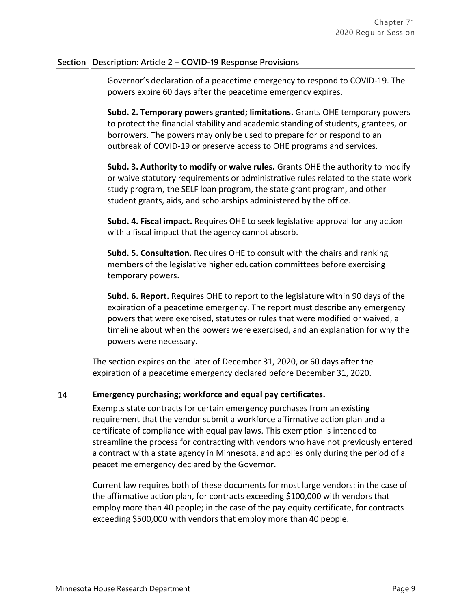Governor's declaration of a peacetime emergency to respond to COVID-19. The powers expire 60 days after the peacetime emergency expires.

**Subd. 2. Temporary powers granted; limitations.** Grants OHE temporary powers to protect the financial stability and academic standing of students, grantees, or borrowers. The powers may only be used to prepare for or respond to an outbreak of COVID-19 or preserve access to OHE programs and services.

**Subd. 3. Authority to modify or waive rules.** Grants OHE the authority to modify or waive statutory requirements or administrative rules related to the state work study program, the SELF loan program, the state grant program, and other student grants, aids, and scholarships administered by the office.

**Subd. 4. Fiscal impact.** Requires OHE to seek legislative approval for any action with a fiscal impact that the agency cannot absorb.

**Subd. 5. Consultation.** Requires OHE to consult with the chairs and ranking members of the legislative higher education committees before exercising temporary powers.

**Subd. 6. Report.** Requires OHE to report to the legislature within 90 days of the expiration of a peacetime emergency. The report must describe any emergency powers that were exercised, statutes or rules that were modified or waived, a timeline about when the powers were exercised, and an explanation for why the powers were necessary.

The section expires on the later of December 31, 2020, or 60 days after the expiration of a peacetime emergency declared before December 31, 2020.

#### 14 **Emergency purchasing; workforce and equal pay certificates.**

Exempts state contracts for certain emergency purchases from an existing requirement that the vendor submit a workforce affirmative action plan and a certificate of compliance with equal pay laws. This exemption is intended to streamline the process for contracting with vendors who have not previously entered a contract with a state agency in Minnesota, and applies only during the period of a peacetime emergency declared by the Governor.

Current law requires both of these documents for most large vendors: in the case of the affirmative action plan, for contracts exceeding \$100,000 with vendors that employ more than 40 people; in the case of the pay equity certificate, for contracts exceeding \$500,000 with vendors that employ more than 40 people.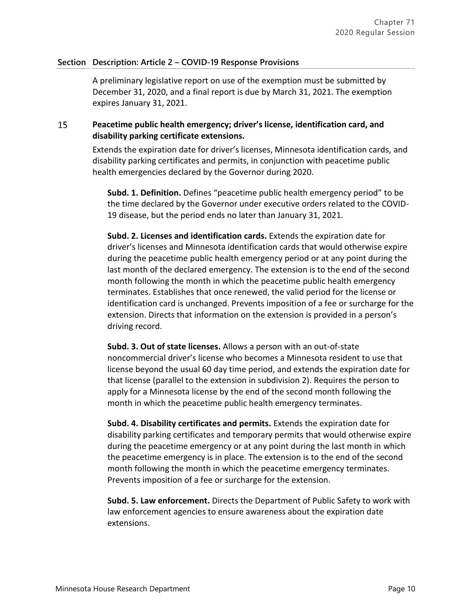A preliminary legislative report on use of the exemption must be submitted by December 31, 2020, and a final report is due by March 31, 2021. The exemption expires January 31, 2021.

### 15 **Peacetime public health emergency; driver's license, identification card, and disability parking certificate extensions.**

Extends the expiration date for driver's licenses, Minnesota identification cards, and disability parking certificates and permits, in conjunction with peacetime public health emergencies declared by the Governor during 2020.

**Subd. 1. Definition.** Defines "peacetime public health emergency period" to be the time declared by the Governor under executive orders related to the COVID-19 disease, but the period ends no later than January 31, 2021.

**Subd. 2. Licenses and identification cards.** Extends the expiration date for driver's licenses and Minnesota identification cards that would otherwise expire during the peacetime public health emergency period or at any point during the last month of the declared emergency. The extension is to the end of the second month following the month in which the peacetime public health emergency terminates. Establishes that once renewed, the valid period for the license or identification card is unchanged. Prevents imposition of a fee or surcharge for the extension. Directs that information on the extension is provided in a person's driving record.

**Subd. 3. Out of state licenses.** Allows a person with an out-of-state noncommercial driver's license who becomes a Minnesota resident to use that license beyond the usual 60 day time period, and extends the expiration date for that license (parallel to the extension in subdivision 2). Requires the person to apply for a Minnesota license by the end of the second month following the month in which the peacetime public health emergency terminates.

**Subd. 4. Disability certificates and permits.** Extends the expiration date for disability parking certificates and temporary permits that would otherwise expire during the peacetime emergency or at any point during the last month in which the peacetime emergency is in place. The extension is to the end of the second month following the month in which the peacetime emergency terminates. Prevents imposition of a fee or surcharge for the extension.

**Subd. 5. Law enforcement.** Directs the Department of Public Safety to work with law enforcement agencies to ensure awareness about the expiration date extensions.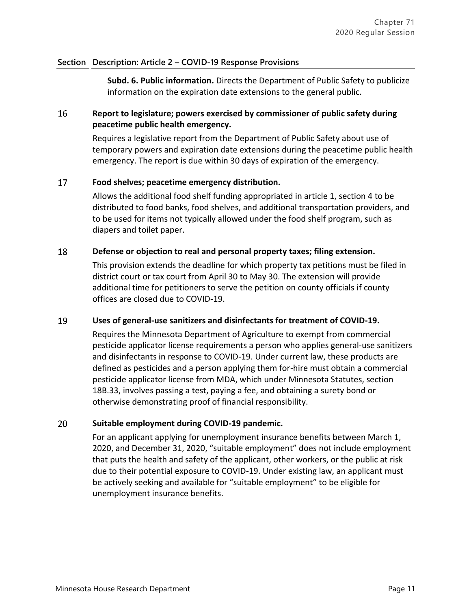**Subd. 6. Public information.** Directs the Department of Public Safety to publicize information on the expiration date extensions to the general public.

### 16 **Report to legislature; powers exercised by commissioner of public safety during peacetime public health emergency.**

Requires a legislative report from the Department of Public Safety about use of temporary powers and expiration date extensions during the peacetime public health emergency. The report is due within 30 days of expiration of the emergency.

#### 17 **Food shelves; peacetime emergency distribution.**

Allows the additional food shelf funding appropriated in article 1, section 4 to be distributed to food banks, food shelves, and additional transportation providers, and to be used for items not typically allowed under the food shelf program, such as diapers and toilet paper.

#### 18 **Defense or objection to real and personal property taxes; filing extension.**

This provision extends the deadline for which property tax petitions must be filed in district court or tax court from April 30 to May 30. The extension will provide additional time for petitioners to serve the petition on county officials if county offices are closed due to COVID-19.

#### 19 **Uses of general-use sanitizers and disinfectants for treatment of COVID-19.**

Requires the Minnesota Department of Agriculture to exempt from commercial pesticide applicator license requirements a person who applies general-use sanitizers and disinfectants in response to COVID-19. Under current law, these products are defined as pesticides and a person applying them for-hire must obtain a commercial pesticide applicator license from MDA, which under Minnesota Statutes, section 18B.33, involves passing a test, paying a fee, and obtaining a surety bond or otherwise demonstrating proof of financial responsibility.

#### 20 **Suitable employment during COVID-19 pandemic.**

For an applicant applying for unemployment insurance benefits between March 1, 2020, and December 31, 2020, "suitable employment" does not include employment that puts the health and safety of the applicant, other workers, or the public at risk due to their potential exposure to COVID-19. Under existing law, an applicant must be actively seeking and available for "suitable employment" to be eligible for unemployment insurance benefits.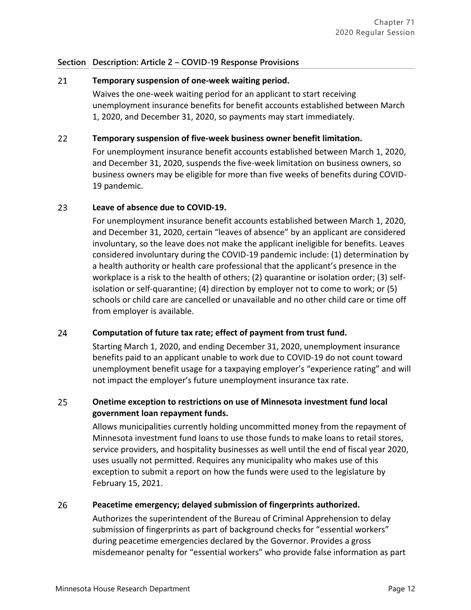#### 21 **Temporary suspension of one-week waiting period.**

Waives the one-week waiting period for an applicant to start receiving unemployment insurance benefits for benefit accounts established between March 1, 2020, and December 31, 2020, so payments may start immediately.

#### $22$ **Temporary suspension of five-week business owner benefit limitation.**

For unemployment insurance benefit accounts established between March 1, 2020, and December 31, 2020, suspends the five-week limitation on business owners, so business owners may be eligible for more than five weeks of benefits during COVID-19 pandemic.

#### 23 **Leave of absence due to COVID-19.**

For unemployment insurance benefit accounts established between March 1, 2020, and December 31, 2020, certain "leaves of absence" by an applicant are considered involuntary, so the leave does not make the applicant ineligible for benefits. Leaves considered involuntary during the COVID-19 pandemic include: (1) determination by a health authority or health care professional that the applicant's presence in the workplace is a risk to the health of others; (2) quarantine or isolation order; (3) selfisolation or self-quarantine; (4) direction by employer not to come to work; or (5) schools or child care are cancelled or unavailable and no other child care or time off from employer is available.

#### 24 **Computation of future tax rate; effect of payment from trust fund.**

Starting March 1, 2020, and ending December 31, 2020, unemployment insurance benefits paid to an applicant unable to work due to COVID-19 do not count toward unemployment benefit usage for a taxpaying employer's "experience rating" and will not impact the employer's future unemployment insurance tax rate.

### 25 **Onetime exception to restrictions on use of Minnesota investment fund local government loan repayment funds.**

Allows municipalities currently holding uncommitted money from the repayment of Minnesota investment fund loans to use those funds to make loans to retail stores, service providers, and hospitality businesses as well until the end of fiscal year 2020, uses usually not permitted. Requires any municipality who makes use of this exception to submit a report on how the funds were used to the legislature by February 15, 2021.

#### 26 **Peacetime emergency; delayed submission of fingerprints authorized.**

Authorizes the superintendent of the Bureau of Criminal Apprehension to delay submission of fingerprints as part of background checks for "essential workers" during peacetime emergencies declared by the Governor. Provides a gross misdemeanor penalty for "essential workers" who provide false information as part